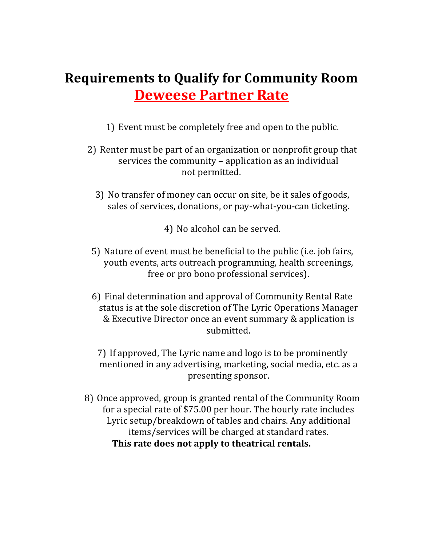## **Requirements to Qualify for Community Room Deweese Partner Rate**

- 1) Event must be completely free and open to the public.
- 2) Renter must be part of an organization or nonprofit group that services the community - application as an individual not permitted.
	- 3) No transfer of money can occur on site, be it sales of goods, sales of services, donations, or pay-what-you-can ticketing.

4) No alcohol can be served.

- 5) Nature of event must be beneficial to the public (i.e. job fairs, youth events, arts outreach programming, health screenings, free or pro bono professional services).
- 6) Final determination and approval of Community Rental Rate status is at the sole discretion of The Lyric Operations Manager & Executive Director once an event summary & application is submitted.

7) If approved, The Lyric name and logo is to be prominently mentioned in any advertising, marketing, social media, etc. as a presenting sponsor.

8) Once approved, group is granted rental of the Community Room for a special rate of \$75.00 per hour. The hourly rate includes Lyric setup/breakdown of tables and chairs. Any additional items/services will be charged at standard rates. This rate does not apply to theatrical rentals.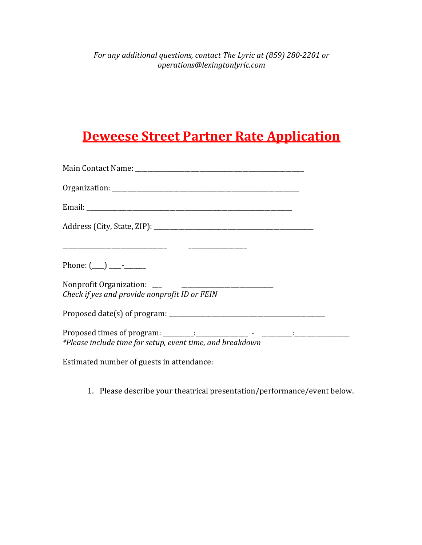## **Deweese Street Partner Rate Application**

| Phone: $(\_\_) \_\_\_$                                    |  |
|-----------------------------------------------------------|--|
| Check if yes and provide nonprofit ID or FEIN             |  |
|                                                           |  |
| *Please include time for setup, event time, and breakdown |  |
| Estimated number of guests in attendance:                 |  |

1. Please describe your theatrical presentation/performance/event below.